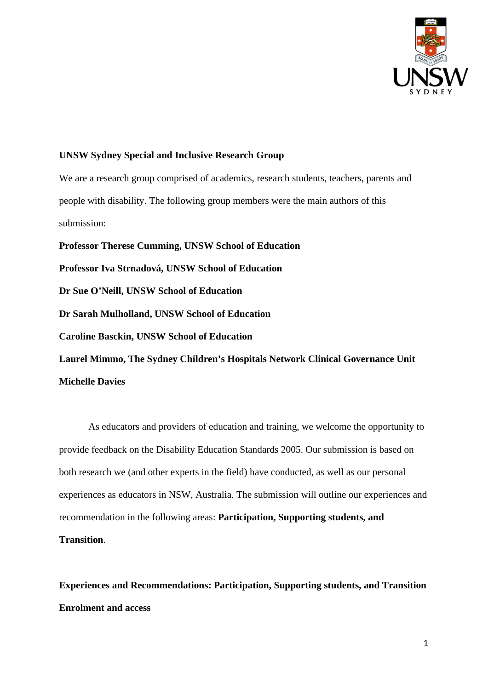

## **UNSW Sydney Special and Inclusive Research Group**

We are a research group comprised of academics, research students, teachers, parents and people with disability. The following group members were the main authors of this submission:

**Professor Therese Cumming, UNSW School of Education** 

**Professor Iva Strnadová, UNSW School of Education** 

**Dr Sue O'Neill, UNSW School of Education** 

**Dr Sarah Mulholland, UNSW School of Education** 

**Caroline Basckin, UNSW School of Education** 

**Laurel Mimmo, The Sydney Children's Hospitals Network Clinical Governance Unit Michelle Davies** 

As educators and providers of education and training, we welcome the opportunity to provide feedback on the Disability Education Standards 2005. Our submission is based on both research we (and other experts in the field) have conducted, as well as our personal experiences as educators in NSW, Australia. The submission will outline our experiences and recommendation in the following areas: **Participation, Supporting students, and Transition**.

**Experiences and Recommendations: Participation, Supporting students, and Transition Enrolment and access**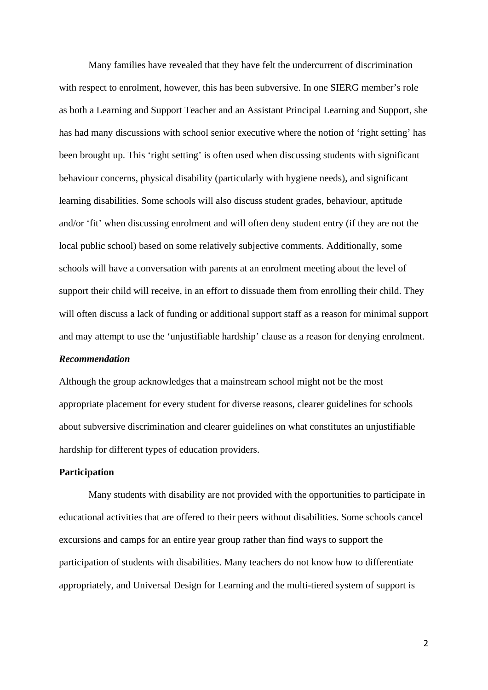Many families have revealed that they have felt the undercurrent of discrimination with respect to enrolment, however, this has been subversive. In one SIERG member's role as both a Learning and Support Teacher and an Assistant Principal Learning and Support, she has had many discussions with school senior executive where the notion of 'right setting' has been brought up. This 'right setting' is often used when discussing students with significant behaviour concerns, physical disability (particularly with hygiene needs), and significant learning disabilities. Some schools will also discuss student grades, behaviour, aptitude and/or 'fit' when discussing enrolment and will often deny student entry (if they are not the local public school) based on some relatively subjective comments. Additionally, some schools will have a conversation with parents at an enrolment meeting about the level of support their child will receive, in an effort to dissuade them from enrolling their child. They will often discuss a lack of funding or additional support staff as a reason for minimal support and may attempt to use the 'unjustifiable hardship' clause as a reason for denying enrolment.

# *Recommendation*

Although the group acknowledges that a mainstream school might not be the most appropriate placement for every student for diverse reasons, clearer guidelines for schools about subversive discrimination and clearer guidelines on what constitutes an unjustifiable hardship for different types of education providers.

#### **Participation**

Many students with disability are not provided with the opportunities to participate in educational activities that are offered to their peers without disabilities. Some schools cancel excursions and camps for an entire year group rather than find ways to support the participation of students with disabilities. Many teachers do not know how to differentiate appropriately, and Universal Design for Learning and the multi-tiered system of support is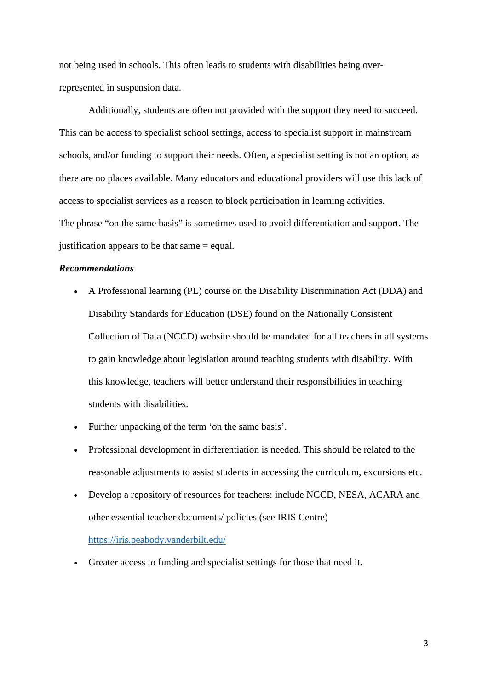not being used in schools. This often leads to students with disabilities being overrepresented in suspension data.

Additionally, students are often not provided with the support they need to succeed. This can be access to specialist school settings, access to specialist support in mainstream schools, and/or funding to support their needs. Often, a specialist setting is not an option, as there are no places available. Many educators and educational providers will use this lack of access to specialist services as a reason to block participation in learning activities. The phrase "on the same basis" is sometimes used to avoid differentiation and support. The justification appears to be that same = equal.

## *Recommendations*

- A Professional learning (PL) course on the Disability Discrimination Act (DDA) and Disability Standards for Education (DSE) found on the Nationally Consistent Collection of Data (NCCD) website should be mandated for all teachers in all systems to gain knowledge about legislation around teaching students with disability. With this knowledge, teachers will better understand their responsibilities in teaching students with disabilities.
- Further unpacking of the term 'on the same basis'.
- Professional development in differentiation is needed. This should be related to the reasonable adjustments to assist students in accessing the curriculum, excursions etc.
- Develop a repository of resources for teachers: include NCCD, NESA, ACARA and other essential teacher documents/ policies (see IRIS Centre)

<https://iris.peabody.vanderbilt.edu/>

Greater access to funding and specialist settings for those that need it.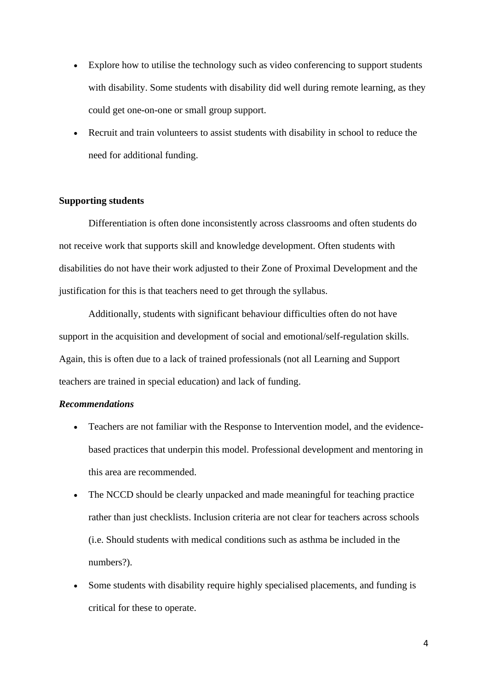- Explore how to utilise the technology such as video conferencing to support students with disability. Some students with disability did well during remote learning, as they could get one-on-one or small group support.
- Recruit and train volunteers to assist students with disability in school to reduce the need for additional funding.

# **Supporting students**

Differentiation is often done inconsistently across classrooms and often students do not receive work that supports skill and knowledge development. Often students with disabilities do not have their work adjusted to their Zone of Proximal Development and the justification for this is that teachers need to get through the syllabus.

Additionally, students with significant behaviour difficulties often do not have support in the acquisition and development of social and emotional/self-regulation skills. Again, this is often due to a lack of trained professionals (not all Learning and Support teachers are trained in special education) and lack of funding.

### *Recommendations*

- Teachers are not familiar with the Response to Intervention model, and the evidencebased practices that underpin this model. Professional development and mentoring in this area are recommended.
- The NCCD should be clearly unpacked and made meaningful for teaching practice rather than just checklists. Inclusion criteria are not clear for teachers across schools (i.e. Should students with medical conditions such as asthma be included in the numbers?).
- Some students with disability require highly specialised placements, and funding is critical for these to operate.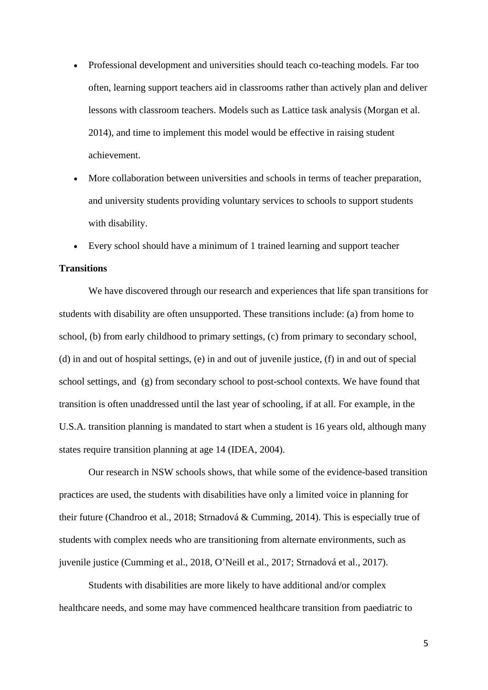- Professional development and universities should teach co-teaching models. Far too often, learning support teachers aid in classrooms rather than actively plan and deliver lessons with classroom teachers. Models such as Lattice task analysis (Morgan et al. 2014), and time to implement this model would be effective in raising student achievement.
- More collaboration between universities and schools in terms of teacher preparation, and university students providing voluntary services to schools to support students with disability.
- Every school should have a minimum of 1 trained learning and support teacher

# **Transitions**

We have discovered through our research and experiences that life span transitions for students with disability are often unsupported. These transitions include: (a) from home to school, (b) from early childhood to primary settings, (c) from primary to secondary school, (d) in and out of hospital settings, (e) in and out of juvenile justice, (f) in and out of special school settings, and (g) from secondary school to post-school contexts. We have found that transition is often unaddressed until the last year of schooling, if at all. For example, in the U.S.A. transition planning is mandated to start when a student is 16 years old, although many states require transition planning at age 14 (IDEA, 2004).

Our research in NSW schools shows, that while some of the evidence-based transition practices are used, the students with disabilities have only a limited voice in planning for their future (Chandroo et al., 2018; Strnadová & Cumming, 2014). This is especially true of students with complex needs who are transitioning from alternate environments, such as juvenile justice (Cumming et al., 2018, O'Neill et al., 2017; Strnadová et al., 2017).

Students with disabilities are more likely to have additional and/or complex healthcare needs, and some may have commenced healthcare transition from paediatric to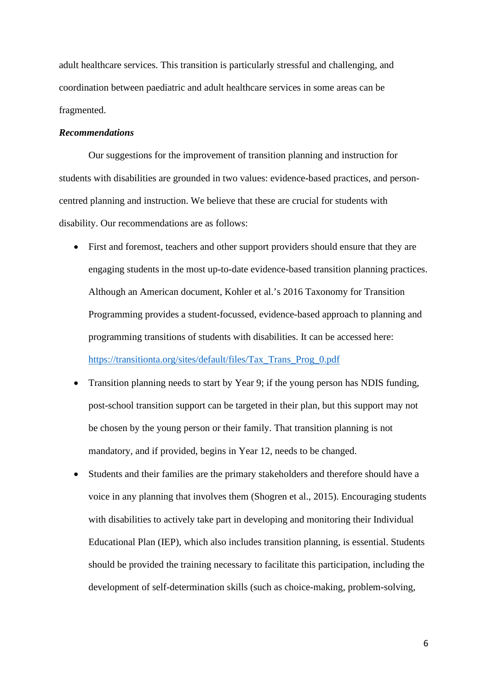adult healthcare services. This transition is particularly stressful and challenging, and coordination between paediatric and adult healthcare services in some areas can be fragmented.

# *Recommendations*

Our suggestions for the improvement of transition planning and instruction for students with disabilities are grounded in two values: evidence-based practices, and personcentred planning and instruction. We believe that these are crucial for students with disability. Our recommendations are as follows:

- First and foremost, teachers and other support providers should ensure that they are engaging students in the most up-to-date evidence-based transition planning practices. Although an American document, Kohler et al.'s 2016 Taxonomy for Transition Programming provides a student-focussed, evidence-based approach to planning and programming transitions of students with disabilities. It can be accessed here: [https://transitionta.org/sites/default/files/Tax\\_Trans\\_Prog\\_0.pdf](https://transitionta.org/sites/default/files/Tax_Trans_Prog_0.pdf)
- Transition planning needs to start by Year 9; if the young person has NDIS funding, post-school transition support can be targeted in their plan, but this support may not be chosen by the young person or their family. That transition planning is not mandatory, and if provided, begins in Year 12, needs to be changed.
- Students and their families are the primary stakeholders and therefore should have a voice in any planning that involves them (Shogren et al., 2015). Encouraging students with disabilities to actively take part in developing and monitoring their Individual Educational Plan (IEP), which also includes transition planning, is essential. Students should be provided the training necessary to facilitate this participation, including the development of self-determination skills (such as choice-making, problem-solving,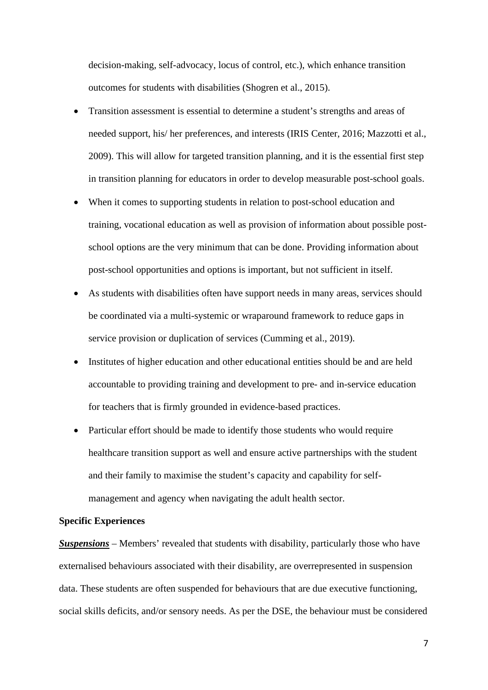decision-making, self-advocacy, locus of control, etc.), which enhance transition outcomes for students with disabilities (Shogren et al., 2015).

- Transition assessment is essential to determine a student's strengths and areas of needed support, his/ her preferences, and interests (IRIS Center, 2016; Mazzotti et al., 2009). This will allow for targeted transition planning, and it is the essential first step in transition planning for educators in order to develop measurable post-school goals.
- When it comes to supporting students in relation to post-school education and training, vocational education as well as provision of information about possible postschool options are the very minimum that can be done. Providing information about post-school opportunities and options is important, but not sufficient in itself.
- As students with disabilities often have support needs in many areas, services should be coordinated via a multi-systemic or wraparound framework to reduce gaps in service provision or duplication of services (Cumming et al., 2019).
- Institutes of higher education and other educational entities should be and are held accountable to providing training and development to pre- and in-service education for teachers that is firmly grounded in evidence-based practices.
- Particular effort should be made to identify those students who would require healthcare transition support as well and ensure active partnerships with the student and their family to maximise the student's capacity and capability for selfmanagement and agency when navigating the adult health sector.

#### **Specific Experiences**

*Suspensions* – Members' revealed that students with disability, particularly those who have externalised behaviours associated with their disability, are overrepresented in suspension data. These students are often suspended for behaviours that are due executive functioning, social skills deficits, and/or sensory needs. As per the DSE, the behaviour must be considered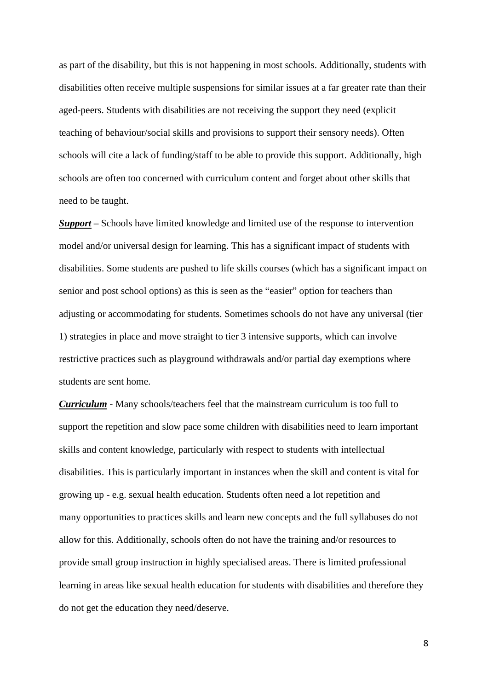as part of the disability, but this is not happening in most schools. Additionally, students with disabilities often receive multiple suspensions for similar issues at a far greater rate than their aged-peers. Students with disabilities are not receiving the support they need (explicit teaching of behaviour/social skills and provisions to support their sensory needs). Often schools will cite a lack of funding/staff to be able to provide this support. Additionally, high schools are often too concerned with curriculum content and forget about other skills that need to be taught.

*Support* – Schools have limited knowledge and limited use of the response to intervention model and/or universal design for learning. This has a significant impact of students with disabilities. Some students are pushed to life skills courses (which has a significant impact on senior and post school options) as this is seen as the "easier" option for teachers than adjusting or accommodating for students. Sometimes schools do not have any universal (tier 1) strategies in place and move straight to tier 3 intensive supports, which can involve restrictive practices such as playground withdrawals and/or partial day exemptions where students are sent home.

*Curriculum* - Many schools/teachers feel that the mainstream curriculum is too full to support the repetition and slow pace some children with disabilities need to learn important skills and content knowledge, particularly with respect to students with intellectual disabilities. This is particularly important in instances when the skill and content is vital for growing up - e.g. sexual health education. Students often need a lot repetition and many opportunities to practices skills and learn new concepts and the full syllabuses do not allow for this. Additionally, schools often do not have the training and/or resources to provide small group instruction in highly specialised areas. There is limited professional learning in areas like sexual health education for students with disabilities and therefore they do not get the education they need/deserve.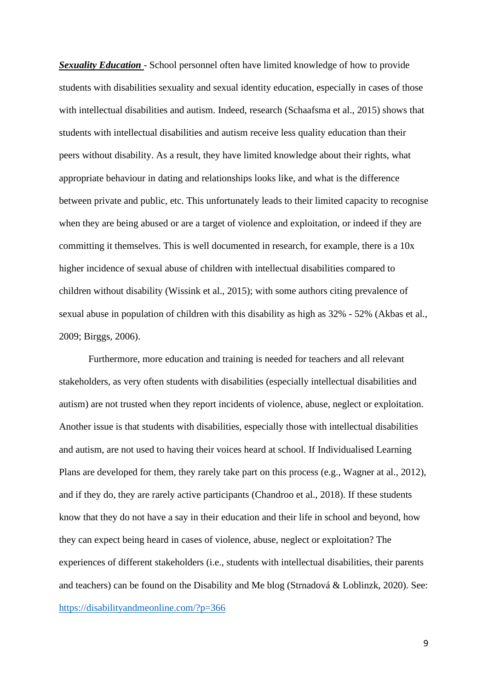*Sexuality Education* - School personnel often have limited knowledge of how to provide students with disabilities sexuality and sexual identity education, especially in cases of those with intellectual disabilities and autism. Indeed, research (Schaafsma et al., 2015) shows that students with intellectual disabilities and autism receive less quality education than their peers without disability. As a result, they have limited knowledge about their rights, what appropriate behaviour in dating and relationships looks like, and what is the difference between private and public, etc. This unfortunately leads to their limited capacity to recognise when they are being abused or are a target of violence and exploitation, or indeed if they are committing it themselves. This is well documented in research, for example, there is a 10x higher incidence of sexual abuse of children with intellectual disabilities compared to children without disability (Wissink et al., 2015); with some authors citing prevalence of sexual abuse in population of children with this disability as high as 32% - 52% (Akbas et al., 2009; Birggs, 2006).

Furthermore, more education and training is needed for teachers and all relevant stakeholders, as very often students with disabilities (especially intellectual disabilities and autism) are not trusted when they report incidents of violence, abuse, neglect or exploitation. Another issue is that students with disabilities, especially those with intellectual disabilities and autism, are not used to having their voices heard at school. If Individualised Learning Plans are developed for them, they rarely take part on this process (e.g., Wagner at al., 2012), and if they do, they are rarely active participants (Chandroo et al., 2018). If these students know that they do not have a say in their education and their life in school and beyond, how they can expect being heard in cases of violence, abuse, neglect or exploitation? The experiences of different stakeholders (i.e., students with intellectual disabilities, their parents and teachers) can be found on the Disability and Me blog (Strnadová & Loblinzk, 2020). See: <https://disabilityandmeonline.com/?p=366>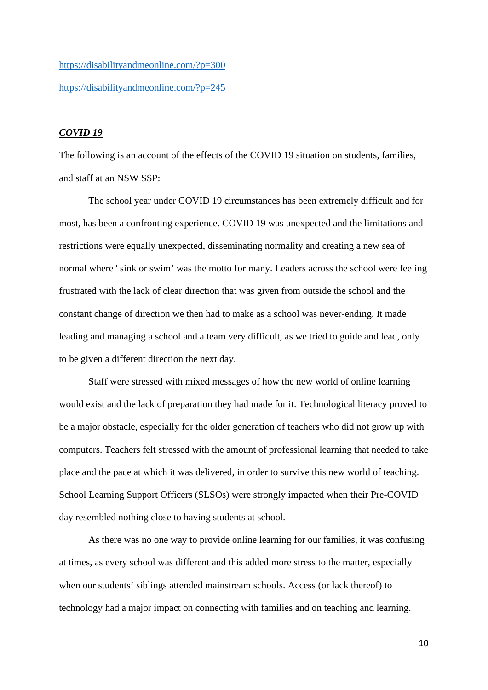<https://disabilityandmeonline.com/?p=300> <https://disabilityandmeonline.com/?p=245>

## *COVID 19*

The following is an account of the effects of the COVID 19 situation on students, families, and staff at an NSW SSP:

The school year under COVID 19 circumstances has been extremely difficult and for most, has been a confronting experience. COVID 19 was unexpected and the limitations and restrictions were equally unexpected, disseminating normality and creating a new sea of normal where ' sink or swim' was the motto for many. Leaders across the school were feeling frustrated with the lack of clear direction that was given from outside the school and the constant change of direction we then had to make as a school was never-ending. It made leading and managing a school and a team very difficult, as we tried to guide and lead, only to be given a different direction the next day.

Staff were stressed with mixed messages of how the new world of online learning would exist and the lack of preparation they had made for it. Technological literacy proved to be a major obstacle, especially for the older generation of teachers who did not grow up with computers. Teachers felt stressed with the amount of professional learning that needed to take place and the pace at which it was delivered, in order to survive this new world of teaching. School Learning Support Officers (SLSOs) were strongly impacted when their Pre-COVID day resembled nothing close to having students at school.

As there was no one way to provide online learning for our families, it was confusing at times, as every school was different and this added more stress to the matter, especially when our students' siblings attended mainstream schools. Access (or lack thereof) to technology had a major impact on connecting with families and on teaching and learning.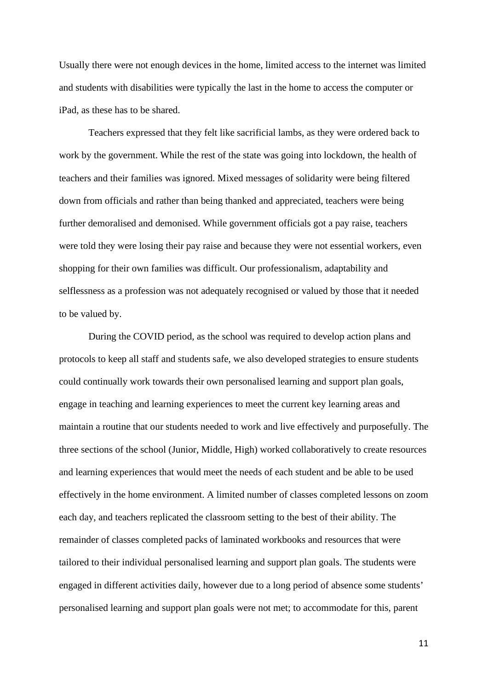Usually there were not enough devices in the home, limited access to the internet was limited and students with disabilities were typically the last in the home to access the computer or iPad, as these has to be shared.

Teachers expressed that they felt like sacrificial lambs, as they were ordered back to work by the government. While the rest of the state was going into lockdown, the health of teachers and their families was ignored. Mixed messages of solidarity were being filtered down from officials and rather than being thanked and appreciated, teachers were being further demoralised and demonised. While government officials got a pay raise, teachers were told they were losing their pay raise and because they were not essential workers, even shopping for their own families was difficult. Our professionalism, adaptability and selflessness as a profession was not adequately recognised or valued by those that it needed to be valued by.

During the COVID period, as the school was required to develop action plans and protocols to keep all staff and students safe, we also developed strategies to ensure students could continually work towards their own personalised learning and support plan goals, engage in teaching and learning experiences to meet the current key learning areas and maintain a routine that our students needed to work and live effectively and purposefully. The three sections of the school (Junior, Middle, High) worked collaboratively to create resources and learning experiences that would meet the needs of each student and be able to be used effectively in the home environment. A limited number of classes completed lessons on zoom each day, and teachers replicated the classroom setting to the best of their ability. The remainder of classes completed packs of laminated workbooks and resources that were tailored to their individual personalised learning and support plan goals. The students were engaged in different activities daily, however due to a long period of absence some students' personalised learning and support plan goals were not met; to accommodate for this, parent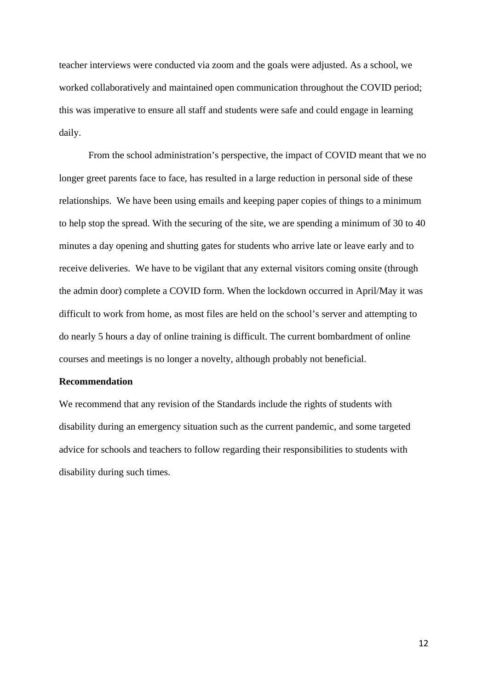teacher interviews were conducted via zoom and the goals were adjusted. As a school, we worked collaboratively and maintained open communication throughout the COVID period; this was imperative to ensure all staff and students were safe and could engage in learning daily.

From the school administration's perspective, the impact of COVID meant that we no longer greet parents face to face, has resulted in a large reduction in personal side of these relationships. We have been using emails and keeping paper copies of things to a minimum to help stop the spread. With the securing of the site, we are spending a minimum of 30 to 40 minutes a day opening and shutting gates for students who arrive late or leave early and to receive deliveries. We have to be vigilant that any external visitors coming onsite (through the admin door) complete a COVID form. When the lockdown occurred in April/May it was difficult to work from home, as most files are held on the school's server and attempting to do nearly 5 hours a day of online training is difficult. The current bombardment of online courses and meetings is no longer a novelty, although probably not beneficial.

#### **Recommendation**

We recommend that any revision of the Standards include the rights of students with disability during an emergency situation such as the current pandemic, and some targeted advice for schools and teachers to follow regarding their responsibilities to students with disability during such times.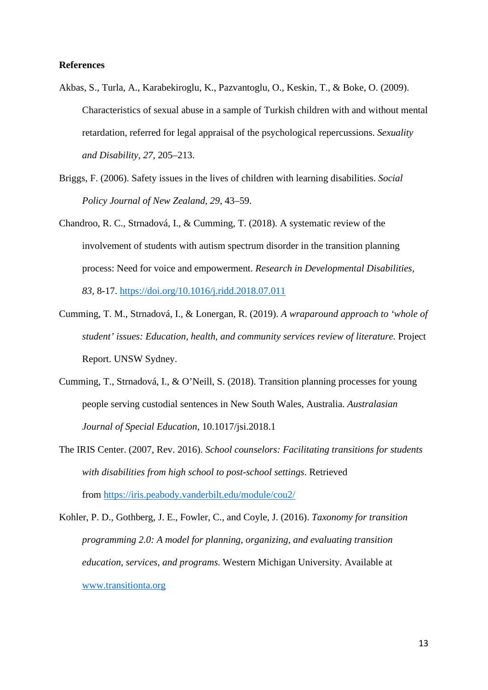### **References**

- Akbas, S., Turla, A., Karabekiroglu, K., Pazvantoglu, O., Keskin, T., & Boke, O. (2009). Characteristics of sexual abuse in a sample of Turkish children with and without mental retardation, referred for legal appraisal of the psychological repercussions. *Sexuality and Disability, 27*, 205–213.
- Briggs, F. (2006). Safety issues in the lives of children with learning disabilities. *Social Policy Journal of New Zealand, 29*, 43–59.
- Chandroo, R. C., Strnadová, I., & Cumming, T. (2018). A systematic review of the involvement of students with autism spectrum disorder in the transition planning process: Need for voice and empowerment. *Research in Developmental Disabilities, 83,* 8-17.<https://doi.org/10.1016/j.ridd.2018.07.011>
- Cumming, T. M., Strnadová, I., & Lonergan, R. (2019). *A wraparound approach to 'whole of student' issues: Education, health, and community services review of literature.* Project Report. UNSW Sydney.
- Cumming, T., Strnadová, I., & O'Neill, S. (2018). Transition planning processes for young people serving custodial sentences in New South Wales, Australia. *Australasian Journal of Special Education*, 10.1017/jsi.2018.1
- The IRIS Center. (2007, Rev. 2016). *School counselors: Facilitating transitions for students with disabilities from high school to post-school settings*. Retrieved from [https://iris.peabody.vanderbilt.edu/module/cou2/](https://iris.peabody.vanderbilt.edu/module/cou2/#content)
- Kohler, P. D., Gothberg, J. E., Fowler, C., and Coyle, J. (2016). *Taxonomy for transition programming 2.0: A model for planning, organizing, and evaluating transition education, services, and programs*. Western Michigan University. Available at [www.transitionta.org](http://www.transitionta.org/)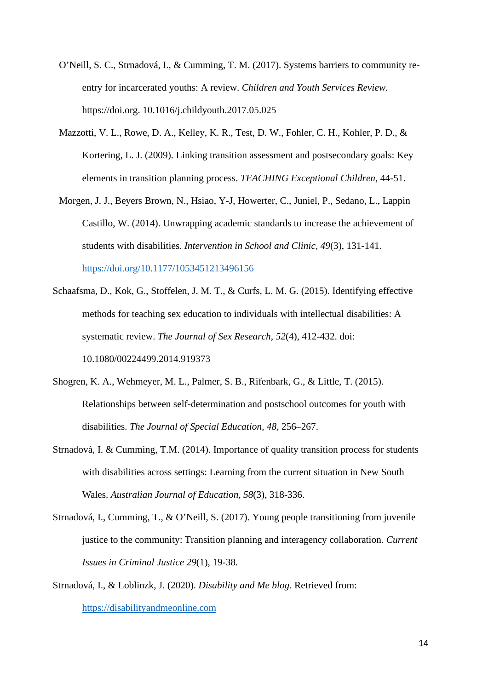- O'Neill, S. C., Strnadová, I., & Cumming, T. M. (2017). Systems barriers to community reentry for incarcerated youths: A review. *Children and Youth Services Review.* https://doi.org. 10.1016/j.childyouth.2017.05.025
- Mazzotti, V. L., Rowe, D. A., Kelley, K. R., Test, D. W., Fohler, C. H., Kohler, P. D., & Kortering, L. J. (2009). Linking transition assessment and postsecondary goals: Key elements in transition planning process. *TEACHING Exceptional Children*, 44-51.
- Morgen, J. J., Beyers Brown, N., Hsiao, Y-J, Howerter, C., Juniel, P., Sedano, L., Lappin Castillo, W. (2014). Unwrapping academic standards to increase the achievement of students with disabilities. *Intervention in School and Clinic, 49*(3), 131-141. [https://doi.org/10.1177/1053451213496156](https://doi.org/10.1177%2F1053451213496156)
- Schaafsma, D., Kok, G., Stoffelen, J. M. T., & Curfs, L. M. G. (2015). Identifying effective methods for teaching sex education to individuals with intellectual disabilities: A systematic review. *The Journal of Sex Research, 52*(4), 412-432. doi: 10.1080/00224499.2014.919373
- Shogren, K. A., Wehmeyer, M. L., Palmer, S. B., Rifenbark, G., & Little, T. (2015). Relationships between self-determination and postschool outcomes for youth with disabilities. *The Journal of Special Education, 48*, 256–267.
- Strnadová, I. & Cumming, T.M. (2014). Importance of quality transition process for students with disabilities across settings: Learning from the current situation in New South Wales. *Australian Journal of Education, 58*(3), 318-336.
- Strnadová, I., Cumming, T., & O'Neill, S. (2017). Young people transitioning from juvenile justice to the community: Transition planning and interagency collaboration. *Current Issues in Criminal Justice 29*(1), 19-38*.*
- Strnadová, I., & Loblinzk, J. (2020). *Disability and Me blog*. Retrieved from: [https://disabilityandmeonline.com](https://disabilityandmeonline.com/)